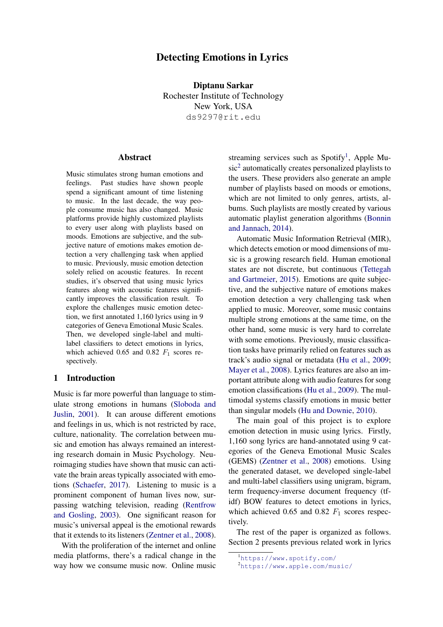# Detecting Emotions in Lyrics

Diptanu Sarkar Rochester Institute of Technology New York, USA ds9297@rit.edu

#### Abstract

Music stimulates strong human emotions and feelings. Past studies have shown people spend a significant amount of time listening to music. In the last decade, the way people consume music has also changed. Music platforms provide highly customized playlists to every user along with playlists based on moods. Emotions are subjective, and the subjective nature of emotions makes emotion detection a very challenging task when applied to music. Previously, music emotion detection solely relied on acoustic features. In recent studies, it's observed that using music lyrics features along with acoustic features significantly improves the classification result. To explore the challenges music emotion detection, we first annotated 1,160 lyrics using in 9 categories of Geneva Emotional Music Scales. Then, we developed single-label and multilabel classifiers to detect emotions in lyrics, which achieved 0.65 and 0.82  $F_1$  scores respectively.

### 1 Introduction

Music is far more powerful than language to stimulate strong emotions in humans [\(Sloboda and](#page-7-0) [Juslin,](#page-7-0) [2001\)](#page-7-0). It can arouse different emotions and feelings in us, which is not restricted by race, culture, nationality. The correlation between music and emotion has always remained an interesting research domain in Music Psychology. Neuroimaging studies have shown that music can activate the brain areas typically associated with emotions [\(Schaefer,](#page-7-1) [2017\)](#page-7-1). Listening to music is a prominent component of human lives now, surpassing watching television, reading [\(Rentfrow](#page-7-2) [and Gosling,](#page-7-2) [2003\)](#page-7-2). One significant reason for music's universal appeal is the emotional rewards that it extends to its listeners [\(Zentner et al.,](#page-7-3) [2008\)](#page-7-3).

With the proliferation of the internet and online media platforms, there's a radical change in the way how we consume music now. Online music

streaming services such as Spotify<sup>[1](#page-0-0)</sup>, Apple Mu-sic<sup>[2](#page-0-1)</sup> automatically creates personalized playlists to the users. These providers also generate an ample number of playlists based on moods or emotions, which are not limited to only genres, artists, albums. Such playlists are mostly created by various automatic playlist generation algorithms [\(Bonnin](#page-5-0) [and Jannach,](#page-5-0) [2014\)](#page-5-0).

Automatic Music Information Retrieval (MIR), which detects emotion or mood dimensions of music is a growing research field. Human emotional states are not discrete, but continuous [\(Tettegah](#page-7-4) [and Gartmeier,](#page-7-4) [2015\)](#page-7-4). Emotions are quite subjective, and the subjective nature of emotions makes emotion detection a very challenging task when applied to music. Moreover, some music contains multiple strong emotions at the same time, on the other hand, some music is very hard to correlate with some emotions. Previously, music classification tasks have primarily relied on features such as track's audio signal or metadata [\(Hu et al.,](#page-5-1) [2009;](#page-5-1) [Mayer et al.,](#page-7-5) [2008\)](#page-7-5). Lyrics features are also an important attribute along with audio features for song emotion classifications [\(Hu et al.,](#page-5-1) [2009\)](#page-5-1). The multimodal systems classify emotions in music better than singular models [\(Hu and Downie,](#page-5-2) [2010\)](#page-5-2).

The main goal of this project is to explore emotion detection in music using lyrics. Firstly, 1,160 song lyrics are hand-annotated using 9 categories of the Geneva Emotional Music Scales (GEMS) [\(Zentner et al.,](#page-7-3) [2008\)](#page-7-3) emotions. Using the generated dataset, we developed single-label and multi-label classifiers using unigram, bigram, term frequency-inverse document frequency (tfidf) BOW features to detect emotions in lyrics, which achieved 0.65 and 0.82  $F_1$  scores respectively.

The rest of the paper is organized as follows. Section 2 presents previous related work in lyrics

<span id="page-0-0"></span><sup>1</sup><https://www.spotify.com/>

<span id="page-0-1"></span><sup>2</sup><https://www.apple.com/music/>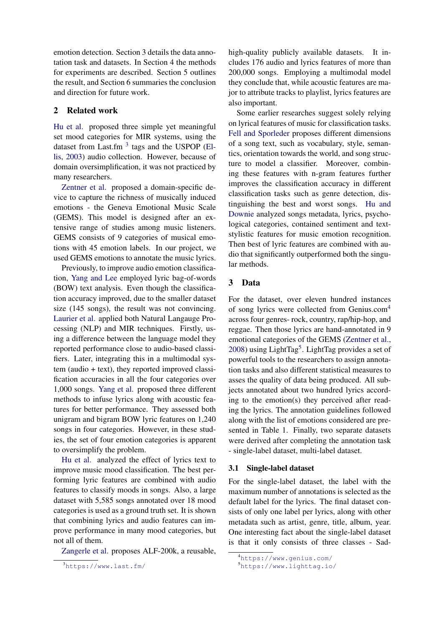emotion detection. Section 3 details the data annotation task and datasets. In Section 4 the methods for experiments are described. Section 5 outlines the result, and Section 6 summaries the conclusion and direction for future work.

## 2 Related work

[Hu et al.](#page-5-3) proposed three simple yet meaningful set mood categories for MIR systems, using the dataset from Last.fm  $3$  tags and the USPOP [\(El](#page-5-4)[lis,](#page-5-4) [2003\)](#page-5-4) audio collection. However, because of domain oversimplification, it was not practiced by many researchers.

[Zentner et al.](#page-7-3) proposed a domain-specific device to capture the richness of musically induced emotions - the Geneva Emotional Music Scale (GEMS). This model is designed after an extensive range of studies among music listeners. GEMS consists of 9 categories of musical emotions with 45 emotion labels. In our project, we used GEMS emotions to annotate the music lyrics.

Previously, to improve audio emotion classification, [Yang and Lee](#page-7-6) employed lyric bag-of-words (BOW) text analysis. Even though the classification accuracy improved, due to the smaller dataset size (145 songs), the result was not convincing. [Laurier et al.](#page-7-7) applied both Natural Langauge Processing (NLP) and MIR techniques. Firstly, using a difference between the language model they reported performance close to audio-based classifiers. Later, integrating this in a multimodal system (audio + text), they reported improved classification accuracies in all the four categories over 1,000 songs. [Yang et al.](#page-7-8) proposed three different methods to infuse lyrics along with acoustic features for better performance. They assessed both unigram and bigram BOW lyric features on 1,240 songs in four categories. However, in these studies, the set of four emotion categories is apparent to oversimplify the problem.

[Hu et al.](#page-5-1) analyzed the effect of lyrics text to improve music mood classification. The best performing lyric features are combined with audio features to classify moods in songs. Also, a large dataset with 5,585 songs annotated over 18 mood categories is used as a ground truth set. It is shown that combining lyrics and audio features can improve performance in many mood categories, but not all of them.

[Zangerle et al.](#page-7-9) proposes ALF-200k, a reusable,

high-quality publicly available datasets. It includes 176 audio and lyrics features of more than 200,000 songs. Employing a multimodal model they conclude that, while acoustic features are major to attribute tracks to playlist, lyrics features are also important.

Some earlier researches suggest solely relying on lyrical features of music for classification tasks. [Fell and Sporleder](#page-5-5) proposes different dimensions of a song text, such as vocabulary, style, semantics, orientation towards the world, and song structure to model a classifier. Moreover, combining these features with n-gram features further improves the classification accuracy in different classification tasks such as genre detection, distinguishing the best and worst songs. [Hu and](#page-5-2) [Downie](#page-5-2) analyzed songs metadata, lyrics, psychological categories, contained sentiment and textstylistic features for music emotion recognition. Then best of lyric features are combined with audio that significantly outperformed both the singular methods.

## 3 Data

For the dataset, over eleven hundred instances of song lyrics were collected from Genius.com[4](#page-1-1) across four genres- rock, country, rap/hip-hop, and reggae. Then those lyrics are hand-annotated in 9 emotional categories of the GEMS [\(Zentner et al.,](#page-7-3) [2008\)](#page-7-3) using LightTag<sup>[5](#page-1-2)</sup>. LightTag provides a set of powerful tools to the researchers to assign annotation tasks and also different statistical measures to asses the quality of data being produced. All subjects annotated about two hundred lyrics according to the emotion(s) they perceived after reading the lyrics. The annotation guidelines followed along with the list of emotions considered are presented in Table 1. Finally, two separate datasets were derived after completing the annotation task - single-label dataset, multi-label dataset.

### 3.1 Single-label dataset

For the single-label dataset, the label with the maximum number of annotations is selected as the default label for the lyrics. The final dataset consists of only one label per lyrics, along with other metadata such as artist, genre, title, album, year. One interesting fact about the single-label dataset is that it only consists of three classes - Sad-

<span id="page-1-0"></span><sup>3</sup><https://www.last.fm/>

<span id="page-1-1"></span><sup>4</sup><https://www.genius.com/>

<span id="page-1-2"></span><sup>5</sup><https://www.lighttag.io/>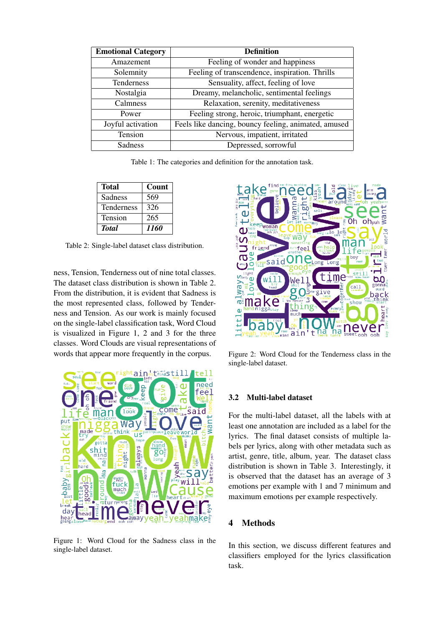| <b>Emotional Category</b> | <b>Definition</b>                                    |  |  |
|---------------------------|------------------------------------------------------|--|--|
| Amazement                 | Feeling of wonder and happiness                      |  |  |
| Solemnity                 | Feeling of transcendence, inspiration. Thrills       |  |  |
| Tenderness                | Sensuality, affect, feeling of love                  |  |  |
| Nostalgia                 | Dreamy, melancholic, sentimental feelings            |  |  |
| Calmness                  | Relaxation, serenity, meditativeness                 |  |  |
| Power                     | Feeling strong, heroic, triumphant, energetic        |  |  |
| Joyful activation         | Feels like dancing, bouncy feeling, animated, amused |  |  |
| Tension                   | Nervous, impatient, irritated                        |  |  |
| Sadness                   | Depressed, sorrowful                                 |  |  |

Table 1: The categories and definition for the annotation task.

| Total        | Count |  |
|--------------|-------|--|
| Sadness      | 569   |  |
| Tenderness   | 326   |  |
| Tension      | 265   |  |
| <b>Total</b> | 1160  |  |

Table 2: Single-label dataset class distribution.

ness, Tension, Tenderness out of nine total classes. The dataset class distribution is shown in Table 2. From the distribution, it is evident that Sadness is the most represented class, followed by Tenderness and Tension. As our work is mainly focused on the single-label classification task, Word Cloud is visualized in Figure 1, 2 and 3 for the three classes. Word Clouds are visual representations of words that appear more frequently in the corpus.



Figure 1: Word Cloud for the Sadness class in the single-label dataset.



Figure 2: Word Cloud for the Tenderness class in the single-label dataset.

## 3.2 Multi-label dataset

For the multi-label dataset, all the labels with at least one annotation are included as a label for the lyrics. The final dataset consists of multiple labels per lyrics, along with other metadata such as artist, genre, title, album, year. The dataset class distribution is shown in Table 3. Interestingly, it is observed that the dataset has an average of 3 emotions per example with 1 and 7 minimum and maximum emotions per example respectively.

#### 4 Methods

In this section, we discuss different features and classifiers employed for the lyrics classification task.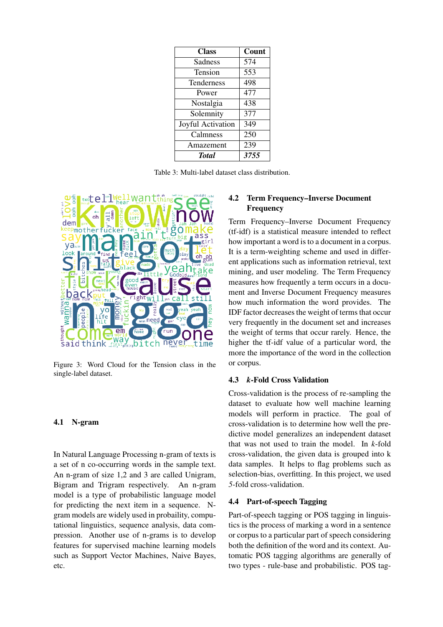| <b>Class</b>      | Count |  |
|-------------------|-------|--|
| Sadness           | 574   |  |
| Tension           | 553   |  |
| <b>Tenderness</b> | 498   |  |
| Power             | 477   |  |
| Nostalgia         | 438   |  |
| Solemnity         | 377   |  |
| Joyful Activation | 349   |  |
| Calmness          | 250   |  |
| Amazement         | 239   |  |
| <b>Total</b>      | 3755  |  |

Table 3: Multi-label dataset class distribution.



Figure 3: Word Cloud for the Tension class in the single-label dataset.

#### 4.1 N-gram

In Natural Language Processing n-gram of texts is a set of n co-occurring words in the sample text. An n-gram of size 1,2 and 3 are called Unigram, Bigram and Trigram respectively. An n-gram model is a type of probabilistic language model for predicting the next item in a sequence. Ngram models are widely used in probaility, computational linguistics, sequence analysis, data compression. Another use of n-grams is to develop features for supervised machine learning models such as Support Vector Machines, Naive Bayes, etc.

## 4.2 Term Frequency–Inverse Document Frequency

Term Frequency–Inverse Document Frequency (tf-idf) is a statistical measure intended to reflect how important a word is to a document in a corpus. It is a term-weighting scheme and used in different applications such as information retrieval, text mining, and user modeling. The Term Frequency measures how frequently a term occurs in a document and Inverse Document Frequency measures how much information the word provides. The IDF factor decreases the weight of terms that occur very frequently in the document set and increases the weight of terms that occur rarely. Hence, the higher the tf-idf value of a particular word, the more the importance of the word in the collection or corpus.

#### 4.3 *k*-Fold Cross Validation

Cross-validation is the process of re-sampling the dataset to evaluate how well machine learning models will perform in practice. The goal of cross-validation is to determine how well the predictive model generalizes an independent dataset that was not used to train the model. In *k*-fold cross-validation, the given data is grouped into k data samples. It helps to flag problems such as selection-bias, overfitting. In this project, we used *5*-fold cross-validation.

#### 4.4 Part-of-speech Tagging

Part-of-speech tagging or POS tagging in linguistics is the process of marking a word in a sentence or corpus to a particular part of speech considering both the definition of the word and its context. Automatic POS tagging algorithms are generally of two types - rule-base and probabilistic. POS tag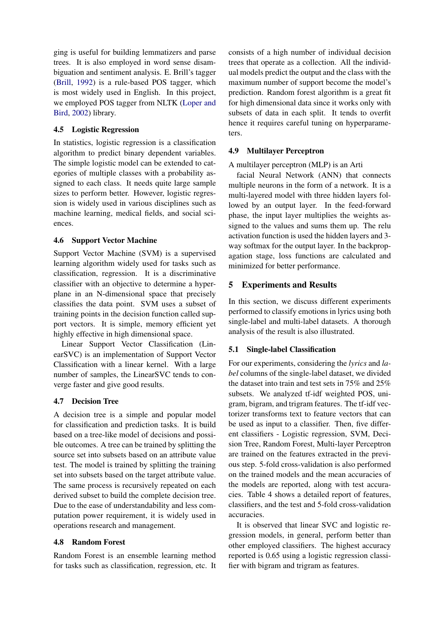ging is useful for building lemmatizers and parse trees. It is also employed in word sense disambiguation and sentiment analysis. E. Brill's tagger [\(Brill,](#page-5-6) [1992\)](#page-5-6) is a rule-based POS tagger, which is most widely used in English. In this project, we employed POS tagger from NLTK [\(Loper and](#page-7-10) [Bird,](#page-7-10) [2002\)](#page-7-10) library.

## 4.5 Logistic Regression

In statistics, logistic regression is a classification algorithm to predict binary dependent variables. The simple logistic model can be extended to categories of multiple classes with a probability assigned to each class. It needs quite large sample sizes to perform better. However, logistic regression is widely used in various disciplines such as machine learning, medical fields, and social sciences.

## 4.6 Support Vector Machine

Support Vector Machine (SVM) is a supervised learning algorithm widely used for tasks such as classification, regression. It is a discriminative classifier with an objective to determine a hyperplane in an N-dimensional space that precisely classifies the data point. SVM uses a subset of training points in the decision function called support vectors. It is simple, memory efficient yet highly effective in high dimensional space.

Linear Support Vector Classification (LinearSVC) is an implementation of Support Vector Classification with a linear kernel. With a large number of samples, the LinearSVC tends to converge faster and give good results.

# 4.7 Decision Tree

A decision tree is a simple and popular model for classification and prediction tasks. It is build based on a tree-like model of decisions and possible outcomes. A tree can be trained by splitting the source set into subsets based on an attribute value test. The model is trained by splitting the training set into subsets based on the target attribute value. The same process is recursively repeated on each derived subset to build the complete decision tree. Due to the ease of understandability and less computation power requirement, it is widely used in operations research and management.

## 4.8 Random Forest

Random Forest is an ensemble learning method for tasks such as classification, regression, etc. It

consists of a high number of individual decision trees that operate as a collection. All the individual models predict the output and the class with the maximum number of support become the model's prediction. Random forest algorithm is a great fit for high dimensional data since it works only with subsets of data in each split. It tends to overfit hence it requires careful tuning on hyperparameters.

## 4.9 Multilayer Perceptron

A multilayer perceptron (MLP) is an Arti

facial Neural Network (ANN) that connects multiple neurons in the form of a network. It is a multi-layered model with three hidden layers followed by an output layer. In the feed-forward phase, the input layer multiplies the weights assigned to the values and sums them up. The relu activation function is used the hidden layers and 3 way softmax for the output layer. In the backpropagation stage, loss functions are calculated and minimized for better performance.

# 5 Experiments and Results

In this section, we discuss different experiments performed to classify emotions in lyrics using both single-label and multi-label datasets. A thorough analysis of the result is also illustrated.

## 5.1 Single-label Classification

For our experiments, considering the *lyrics* and *label* columns of the single-label dataset, we divided the dataset into train and test sets in 75% and 25% subsets. We analyzed tf-idf weighted POS, unigram, bigram, and trigram features. The tf-idf vectorizer transforms text to feature vectors that can be used as input to a classifier. Then, five different classifiers - Logistic regression, SVM, Decision Tree, Random Forest, Multi-layer Perceptron are trained on the features extracted in the previous step. 5-fold cross-validation is also performed on the trained models and the mean accuracies of the models are reported, along with test accuracies. Table 4 shows a detailed report of features, classifiers, and the test and 5-fold cross-validation accuracies.

It is observed that linear SVC and logistic regression models, in general, perform better than other employed classifiers. The highest accuracy reported is 0.65 using a logistic regression classifier with bigram and trigram as features.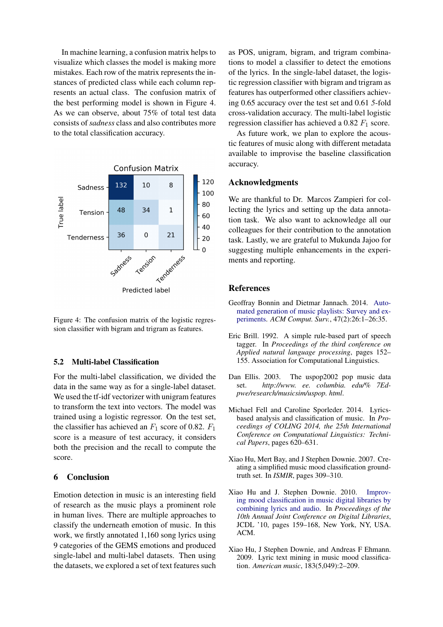In machine learning, a confusion matrix helps to visualize which classes the model is making more mistakes. Each row of the matrix represents the instances of predicted class while each column represents an actual class. The confusion matrix of the best performing model is shown in Figure 4. As we can observe, about 75% of total test data consists of *sadness* class and also contributes more to the total classification accuracy.



Figure 4: The confusion matrix of the logistic regression classifier with bigram and trigram as features.

### 5.2 Multi-label Classification

For the multi-label classification, we divided the data in the same way as for a single-label dataset. We used the tf-idf vectorizer with unigram features to transform the text into vectors. The model was trained using a logistic regressor. On the test set, the classifier has achieved an  $F_1$  score of 0.82.  $F_1$ score is a measure of test accuracy, it considers both the precision and the recall to compute the score.

### 6 Conclusion

Emotion detection in music is an interesting field of research as the music plays a prominent role in human lives. There are multiple approaches to classify the underneath emotion of music. In this work, we firstly annotated 1,160 song lyrics using 9 categories of the GEMS emotions and produced single-label and multi-label datasets. Then using the datasets, we explored a set of text features such as POS, unigram, bigram, and trigram combinations to model a classifier to detect the emotions of the lyrics. In the single-label dataset, the logistic regression classifier with bigram and trigram as features has outperformed other classifiers achieving 0.65 accuracy over the test set and 0.61 *5*-fold cross-validation accuracy. The multi-label logistic regression classifier has achieved a 0.82  $F_1$  score.

As future work, we plan to explore the acoustic features of music along with different metadata available to improvise the baseline classification accuracy.

### Acknowledgments

We are thankful to Dr. Marcos Zampieri for collecting the lyrics and setting up the data annotation task. We also want to acknowledge all our colleagues for their contribution to the annotation task. Lastly, we are grateful to Mukunda Jajoo for suggesting multiple enhancements in the experiments and reporting.

### References

- <span id="page-5-0"></span>Geoffray Bonnin and Dietmar Jannach. 2014. [Auto](https://doi.org/10.1145/2652481)[mated generation of music playlists: Survey and ex](https://doi.org/10.1145/2652481)[periments.](https://doi.org/10.1145/2652481) *ACM Comput. Surv.*, 47(2):26:1–26:35.
- <span id="page-5-6"></span>Eric Brill. 1992. A simple rule-based part of speech tagger. In *Proceedings of the third conference on Applied natural language processing*, pages 152– 155. Association for Computational Linguistics.
- <span id="page-5-4"></span>Dan Ellis. 2003. The uspop2002 pop music data set. *http://www. ee. columbia. edu/% 7Edpwe/research/musicsim/uspop. html*.
- <span id="page-5-5"></span>Michael Fell and Caroline Sporleder. 2014. Lyricsbased analysis and classification of music. In *Proceedings of COLING 2014, the 25th International Conference on Computational Linguistics: Technical Papers*, pages 620–631.
- <span id="page-5-3"></span>Xiao Hu, Mert Bay, and J Stephen Downie. 2007. Creating a simplified music mood classification groundtruth set. In *ISMIR*, pages 309–310.
- <span id="page-5-2"></span>Xiao Hu and J. Stephen Downie. 2010. [Improv](https://doi.org/10.1145/1816123.1816146)[ing mood classification in music digital libraries by](https://doi.org/10.1145/1816123.1816146) [combining lyrics and audio.](https://doi.org/10.1145/1816123.1816146) In *Proceedings of the 10th Annual Joint Conference on Digital Libraries*, JCDL '10, pages 159–168, New York, NY, USA. ACM.
- <span id="page-5-1"></span>Xiao Hu, J Stephen Downie, and Andreas F Ehmann. 2009. Lyric text mining in music mood classification. *American music*, 183(5,049):2–209.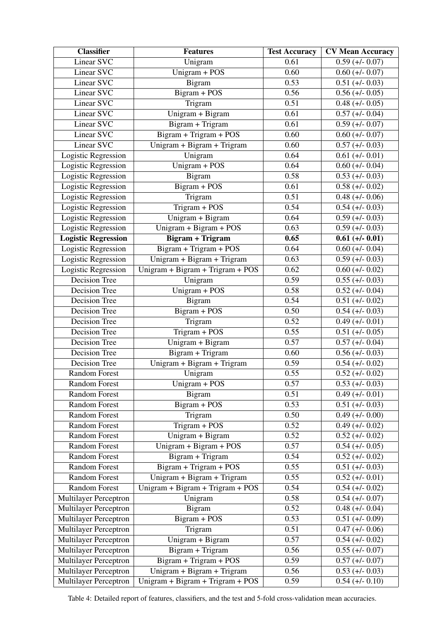| <b>Classifier</b>            | <b>Features</b>                     | <b>Test Accuracy</b> | <b>CV Mean Accuracy</b>      |
|------------------------------|-------------------------------------|----------------------|------------------------------|
| Linear SVC                   | Unigram                             | 0.61                 | $0.59$ (+/- 0.07)            |
| Linear SVC                   | Unigram + POS                       | 0.60                 | $0.60 (+/- 0.07)$            |
| Linear SVC                   | <b>Bigram</b>                       | 0.53                 | $0.51 (+/- 0.03)$            |
| Linear SVC                   | Bigram + POS                        | 0.56                 | $0.56 (+/- 0.05)$            |
| Linear SVC                   | Trigram                             | 0.51                 | $0.48 (+/- 0.05)$            |
| Linear SVC                   | Unigram + Bigram                    | 0.61                 | $0.57 (+1.004)$              |
| Linear SVC                   | Bigram + Trigram                    | 0.61                 | $0.59$ (+/- 0.07)            |
| Linear SVC                   | Bigram + Trigram + POS              | 0.60                 | $0.60 (+/- 0.07)$            |
| Linear SVC                   | Unigram + Bigram + Trigram          | 0.60                 | $0.57 (+/- 0.03)$            |
| Logistic Regression          | Unigram                             | 0.64                 | $0.61 (+/- 0.01)$            |
| Logistic Regression          | Unigram + POS                       | 0.64                 | $0.60 (+/- 0.04)$            |
| Logistic Regression          | Bigram                              | 0.58                 | $0.53 (+/- 0.03)$            |
| Logistic Regression          | Bigram + POS                        | 0.61                 | $0.58 (+/- 0.02)$            |
| <b>Logistic Regression</b>   | Trigram                             | 0.51                 | $0.48 (+/- 0.06)$            |
| Logistic Regression          | $Trigram + POS$                     | 0.54                 | $0.54 (+/- 0.03)$            |
| Logistic Regression          | Unigram + Bigram                    | 0.64                 | $0.59$ (+/- 0.03)            |
| Logistic Regression          | $Unigram + Bigram + POS$            | 0.63                 | $\overline{0.59}$ (+/- 0.03) |
| <b>Logistic Regression</b>   | <b>Bigram + Trigram</b>             | 0.65                 | $0.61 (+/- 0.01)$            |
| Logistic Regression          | $\overline{Bigram + Trigram + POS}$ | 0.64                 | $0.60 (+/- 0.04)$            |
| <b>Logistic Regression</b>   | Unigram + Bigram + Trigram          | 0.63                 | $0.59$ (+/- 0.03)            |
| Logistic Regression          | Unigram + Bigram + Trigram + POS    | 0.62                 | $0.60 (+/- 0.02)$            |
| Decision Tree                | Unigram                             | 0.59                 | $0.55 (+/- 0.03)$            |
| Decision Tree                | Unigram + POS                       | 0.58                 | $0.52 (+/- 0.04)$            |
| Decision Tree                | Bigram                              | 0.54                 | $0.51 (+/- 0.02)$            |
| Decision Tree                | Bigram + POS                        | 0.50                 | $0.54$ (+/- 0.03)            |
| Decision Tree                | Trigram                             | 0.52                 | $0.49 (+/- 0.01)$            |
| <b>Decision Tree</b>         | Trigram + POS                       | 0.55                 | $0.51 (+/- 0.05)$            |
| Decision Tree                | Unigram + Bigram                    | 0.57                 | $0.57 (+/- 0.04)$            |
| Decision Tree                | Bigram + Trigram                    | 0.60                 | $0.56 (+/- 0.03)$            |
| Decision Tree                | Unigram + Bigram + Trigram          | 0.59                 | $0.54 (+/- 0.02)$            |
| <b>Random Forest</b>         | Unigram                             | 0.55                 | $0.52 (+/- 0.02)$            |
| <b>Random Forest</b>         | Unigram + POS                       | 0.57                 | $0.53 (+/- 0.03)$            |
| <b>Random Forest</b>         | Bigram                              | 0.51                 | $0.49 (+/- 0.01)$            |
| <b>Random Forest</b>         | Bigram + POS                        | 0.53                 | $0.51 (+/- 0.03)$            |
| <b>Random Forest</b>         | Trigram                             | 0.50                 | $0.49 (+/- 0.00)$            |
| Random Forest                | $Trigram + POS$                     | 0.52                 | $0.49 (+/- 0.02)$            |
| <b>Random Forest</b>         | Unigram + Bigram                    | 0.52                 | $\overline{0.52}$ (+/- 0.02) |
| <b>Random Forest</b>         | $Unigram + Bigram + POS$            | 0.57                 | $0.54$ (+/- 0.05)            |
| Random Forest                | Bigram + Trigram                    | 0.54                 | $0.52 (+/- 0.02)$            |
| <b>Random Forest</b>         | Bigram + Trigram + POS              | 0.55                 | $0.51 (+/- 0.03)$            |
| <b>Random Forest</b>         | Unigram + Bigram + Trigram          | 0.55                 | $0.52 (+/- 0.01)$            |
| Random Forest                | $Unigram + Bigram + Trigram + POS$  | 0.54                 | $0.54$ (+/- 0.02)            |
| Multilayer Perceptron        | Unigram                             | 0.58                 | $0.54$ (+/- 0.07)            |
| Multilayer Perceptron        | Bigram                              | 0.52                 | $0.48 (+/- 0.04)$            |
| Multilayer Perceptron        | Bigram + POS                        | 0.53                 | $0.51 (+/- 0.09)$            |
| Multilayer Perceptron        | Trigram                             | 0.51                 | $0.47 (+/- 0.06)$            |
| Multilayer Perceptron        | $\overline{U}$ nigram + Bigram      | 0.57                 | $0.54$ (+/- 0.02)            |
| Multilayer Perceptron        | Bigram + Trigram                    | 0.56                 | $0.55 (+/- 0.07)$            |
| Multilayer Perceptron        | $Bigram + Trigram + POS$            | 0.59                 | $0.57 (+/- 0.07)$            |
| <b>Multilayer Perceptron</b> | Unigram + Bigram + Trigram          | 0.56                 | $0.53 (+/- 0.03)$            |
| Multilayer Perceptron        | Unigram + Bigram + Trigram + POS    | 0.59                 | $0.54 (+/- 0.10)$            |

Table 4: Detailed report of features, classifiers, and the test and 5-fold cross-validation mean accuracies.